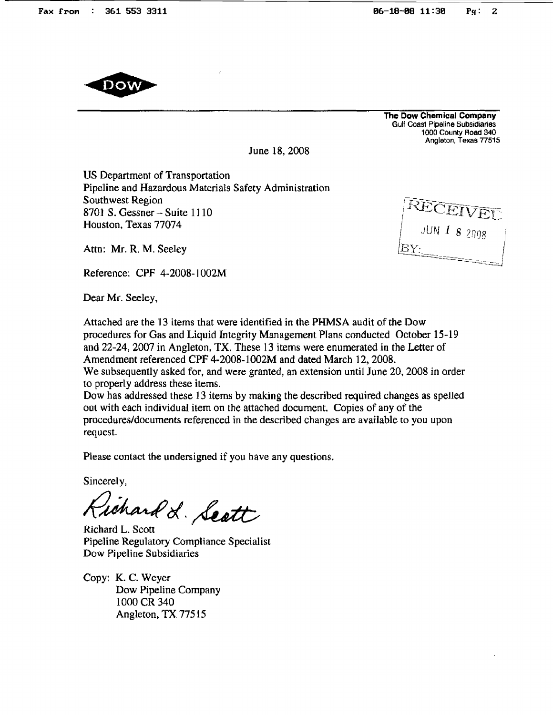

The Dow Chemical Company Gulf Coast Pipeline Subsidiaries 1000 County Aoad 340 Angleton, Texas 77515

 $\begin{array}{c}\n\text{JUN I } 8 \text{ 2008}\n\\ \n\text{V.}\n\end{array}$ 

June 18, 2008

US Department of Transportation Pipeline and Hazardous Materials Safety Administration Southwest Region 8701 S. Gessner - Suite 1] 10 Houston. Texas 77074

Attn: Mr. R. M. Seeley

Reference: CPF 4-2008-l002M

Dear Mr. Seeley,

Attached are the 13 items that were identified in the PHMSA audit of the Dow procedures for Gas and Liquid Integrity Management Plans conducted October 15-19 and 22-24, 2007 in Angleton, TX. These 13 items were enumerated in the Letter of Amendment referenced CPF 4-2008-1002M and dated March 12, 2008. We subsequently asked for, and were granted, an extension until June 20, 2008 in order to properly address these items.

Dow has addressed these 13 items by making the described required changes as spelled out with each individual item on the attached document. Copies of any of the procedures/documents referenced in the described changes are available to you upon request.

Please contact the undersigned if you have any questions.

Sincerely,

ichard L. Seatt

Richard L. Scott Pipeline Regulatory Compliance Specialist Dow Pipeline Subsidiaries

Copy: K. C. Weyer Dow Pipeline Company 1000 CR 340 Angleton, TX 77515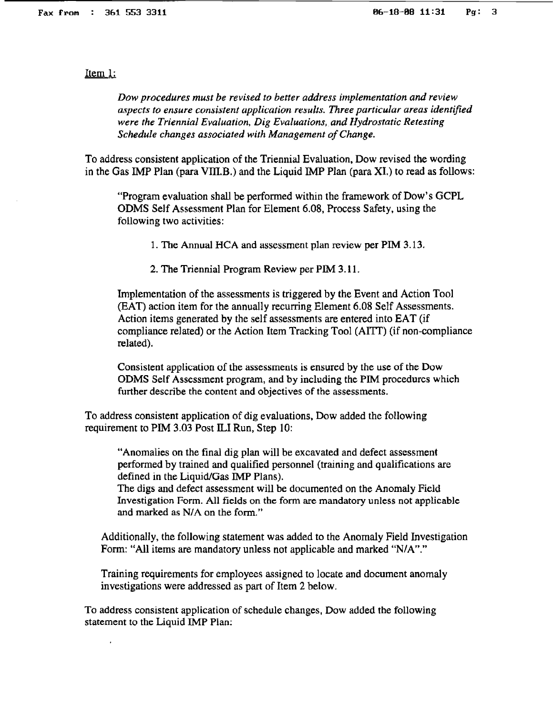Item 1:

*Dow procedures must be revised to better address implementation and review aspects to ensure consistent application results. Three particular areas identified were the Triennial Evaluation, Dig Evaluations,. and Hydrostatic Retesting Schedule changes associated with Management of Change.* 

To address consistent application of the Triennial Evaluation, Dow revised the wording in the Gas IMP Plan (para VIII.B.) and the Liquid IMP Plan (para XI.) to read as follows:

"Program evaluation shall be performed within the framework of Dow's GCPL ODMS Self Assessment Plan for Element 6.08, Process Safety, using the following two activities:

1. The Annual HCA and assessment plan review per PIM 3.13.

2. The Triennial Program Review per PIM 3.11.

Implementation of the assessments is triggered by the Event and Action Tool (EAT) action item for the annually recurring Element 6.08 Self Assessments. Action items generated by the self assessments are entered into EAT (if compliance related) or the Action Item Tracking Tool (AlIT) (if non-compliance related).

Consistent application of the assessments is ensured by the use of the Dow ODMS Self Assessment program, and by including the PIM procedures which further describe the content and objectives of the assessments.

To address consistent application of dig evaluations, Dow added the following requirement to PIM  $3.03$  Post ILI Run, Step 10:

"Anomalies on the final dig plan will be excavated and defect assessment performed by trained and qualified personnel (training and qualifications are defined in the Liquid/Gas lMP Plans).

The digs and defect assessment will be documented on the Anomaly Field Investigation Form. All fields on the form are mandatory unless not applicable and marked as N/A on the form."

Additionally, the following statement was added to the Anomaly Field Investigation Form: "All items are mandatory unless not applicable and marked "N/A"."

Training requirements for employees assigned to locate and document anomaly investigations were addressed as part of Item 2 below.

To address consistent application of schedule Changes, Dow added the following statement to the Liquid IMP Plan: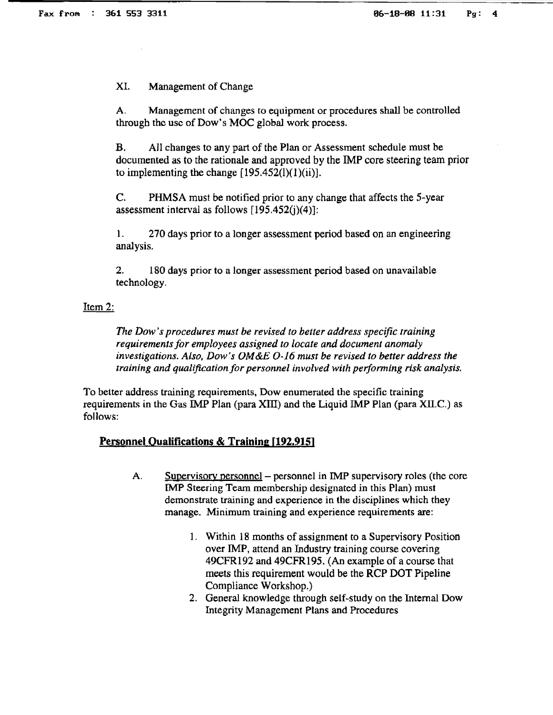XI. Management of Change

A. Management of changes to equipment or procedures shall be controlled through the use of Dow's MOC global work process.

B. All changes to any part of the Plan or Assessment schedule must be documented as to the rationale and approved by the IMP core steering team prior to implementing the change  $[195.452(l)(1)(ii)]$ .

C. PHMSA must be notified prior to any change that affects the 5-year assessment interval as follows  $[195.452(i)(4)]$ :

1. 270 days prior to a longer assessment period based on an engineering analysis.

2. 180 days prior to a longer assessment period based on unavailable technology.

# Item 2:

*The Dow's procedures must be revised to better address specific training requirements for employees assigned to locate and document anomaly investigations. Also, Dow's OM&E 0·16 must be revised to better address the*  training and qualification for personnel involved with performing risk analysis.

To better address training requirements, Dow enumerated the specific training requirements in the Gas IMP Plan (para XIII) and the Liquid IMP Plan (para XII.C.) as follows:

# **Personnel Qualifications & Training [192.915]**

- A. Supervisory personnel personnel in IMP supervisory roles (the core IMP Steering Team membership designated in this Plan) must demonstrate training and experience in the disciplines which they manage. Minimum training and experience requirements are:
	- 1. Within 18 months of assignment to a Supervisory Position over IMP, attend an Industry training course covering 49CFR192 and 49CFR195. (An example of a course that meets this requirement would be the RCP DOT Pipeline Compliance Workshop.)
	- 2. General knowledge through self-study on the Internal Dow Integrity Management Plans and Procedures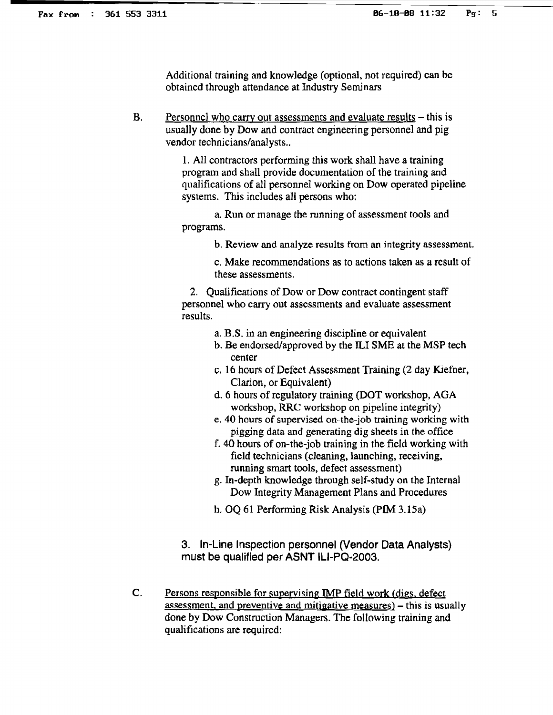Additional training and knowledge (optional, not required) can be obtained through attendance at Industry Seminars

B. Personnel who carry out assessments and evaluate results – this is usually done by Dow and contract engineering personnel and pig vendor technicians/analysts..

> 1. All contractors performing this work shall have a training program and shall provide documentation of the training and qualifications of all personnel working on Dow operated pipeline systems. This includes all persons who:

a. Run or manage the running of assessment tools and programs.

b. Review and analyze results from an integrity assessment.

c. Make recommendations as to actions taken as a result of these assessments.

2. Qualifications of Dow or Dow contract contingent staff personnel who carry out assessments and evaluate assessment results.

- a. B.S. in an engineering discipline or equivalent
- b. Be endorsed/approved by the ILI SME at the MSP tech center
- c. 16 hours of Defect Assessment Training (2 day Kiefner, Clarion, or Equivalent)
- d. 6 hours of regulatory training (DOT workshop, AGA workshop, RRC workshop on pipeline integrity)
- e. 40 hours of supervised on-the-job training working with pigging data and generating dig sheets in the office
- f. 40 hours of on-the-job training in the field working with field technicians (cleaning, launching, receiving, running smart tools, defect assessment)
- g. In-depth knowledge through self-study on the Internal Dow Integrity Management Plans and Procedures
- h. OQ 61 Performing Risk Analysis (PIM 3.15a)

3. In-Line Inspection personnel (Vendor Data Analysts) must be qualified per ASNT ILI-PQ·2003.

c. Persons responsible for supervising IMP field work (digs. defect assessment, and preventive and mitigative measures) - this is usually done by Dow Construction Managers. The following training and qualifications are required: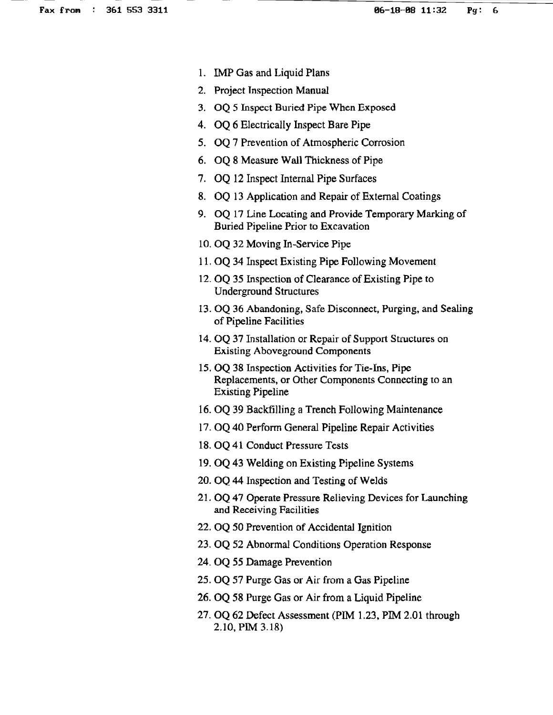- 1. IMP Gas and Liquid Plans
- 2. Project Inspection Manual
- 3. OQ 5 Inspect Buried Pipe When Exposed
- 4. OQ 6 Electrically Inspect Bare Pipe
- 5. OQ 7 Prevention of Atmospheric Corrosion
- 6. OQ 8 Measure Wall Thickness of Pipe
- 7. OQ 12 Inspect Internal Pipe Surfaces
- 8. OQ 13 Application and Repair of External Coatings
- 9. OQ 17 Line Locating and Provide Temporary Marking of Buried Pipeline Prior to Excavation
- 10. OQ 32 Moving In-Service Pipe
- 11. OQ 34 Inspect Existing Pipe Following Movement
- 12. OQ 35 Inspection of Clearance of Existing Pipe to Underground Structures
- 13. OQ 36 Abandoning. Safe Disconnect, Purging, and Sealing of Pipeline Facilities
- 14. OQ 37 Installation or Repair of Support Structures on Existing Aboveground Components
- 15. OQ 38 Inspection Activities for Tie-Ins, Pipe Replacements, or Other Components Connecting to an Existing Pipeline
- 16. OQ 39 Backfilling a Trench Following Maintenance
- 17. OQ 40 Perform General Pipeline Repair Activities
- 18. OQ 41 Conduct Pressure Tests
- 19. OQ 43 Welding on Existing Pipeline Systems
- 20. OQ 44 Inspection and Testing of Welds
- 21. OQ 47 Operate Pressure Relieving Devices for Launching and Receiving Facilities
- 22. OQ 50 Prevention of Accidental Ignition
- 23. OQ 52 Abnormal Conditions Operation Response
- 24. OQ 55 Damage Prevention
- 25. OQ 57 Purge Gas or Air from a Gas Pipeline
- 26. OQ 58 Purge Gas or Air from a Liquid Pipeline
- 27. OQ 62 Defect Assessment (PlM 1.23, PIM 2.01 through 2.10, PIM 3.18)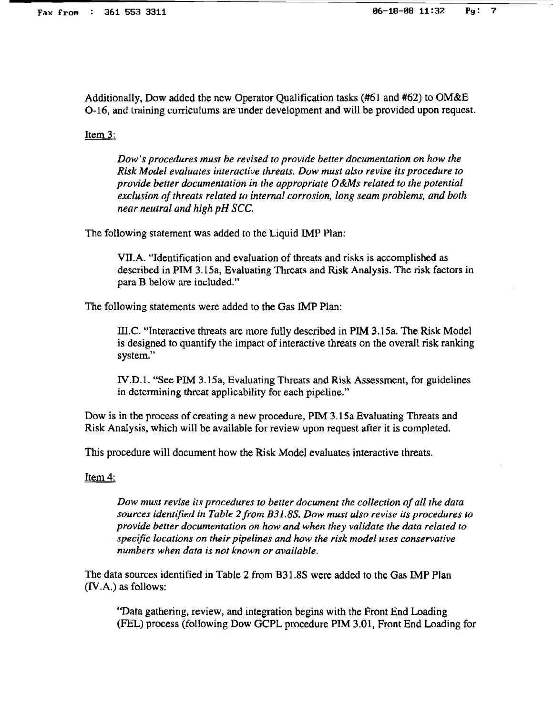Additionally, Dow added the new Operator Qualification tasks (#61 and #62) to OM&E 0-16, and training curriculums are under development and will be provided upon request.

Item 3:

*Dow's procedures must be revised to provide better documentation on how the Risk Model evaluates interactive threats. Dow must al:1O revise its procedure to provide better documentation in the appropriate O&Ms related to the potential exclusion of threats related to internal corrosion, long seam problems, and both near neutral and high pH SCC.* 

The following statement was added to the Liquid IMP Plan:

VIlA. "Identification and evaluation of threats and risks is accomplished as described in PIM 3.15a, Evaluating Threats and Risk Analysis. The risk factors in para B below are included."

The following statements were added to the Gas IMP Plan:

m.c. "Interactive threats are more fully described in PlM 3.15a. The Risk Model is designed to quantify the impact of interactive threats on the overall risk ranking system."

IV.D.l. "See PIM 3.15a, Evaluating Threats and Risk Assessment, for guidelines in determining threat applicability for each pipeline."

Dow is in the process of creating a new procedure, PIM 3.15a Evaluating Threats and Risk Analysis, which will be available for review upon request after it is completed.

This procedure will document how the Risk Model evaluates interactive threats.

Item 4:

*Dow must revise its procedures to better document the collection of all the data sources identified in Table 2from B31.88. Dow must also revise its procedures to provide better documentation on how and when they validate the data related to specific locations on their pipelines and how the risk model uses conservative numbers when data is not known or available.* 

The data sources identified in Table 2 from B31.8S were added to the Gas IMP Plan (IV.A.) as follows:

"Data gathering, review, and integration begins with the Front End Loading (FEL) process (following Dow GCPL procedure PIM 3.01, Front End Loading for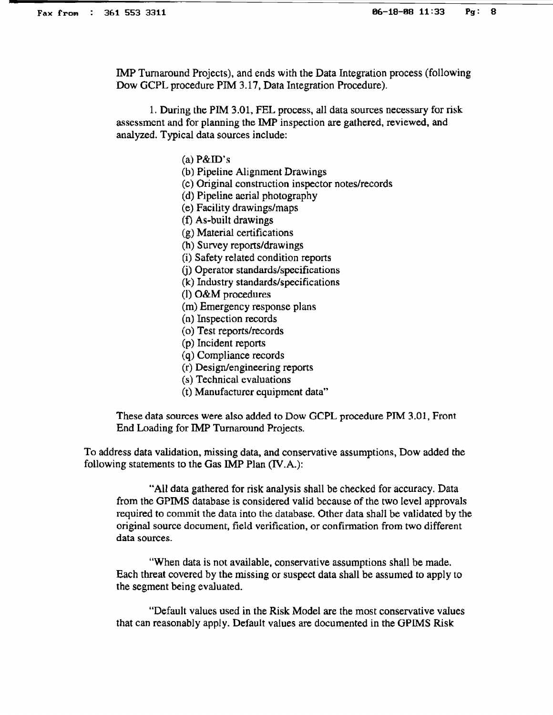IMP Turnaround Projects), and ends with the Data Integration process (following Dow GCPL procedure PIM 3.17, Data Integration Procedure).

1. During the PIM 3.01, FEL process, all data sources necessary for risk assessment and for planning the IMP inspection are gathered, reviewed, and analyzed. Typical data sources include:

 $(a)$  P&ID's

- (b) Pipeline Alignment Drawings
- (c) Original construction inspector notes/records
- (d) Pipeline aerial photography
- (e) Facility drawings/maps
- (t) As-built drawings
- (g) Material certifications
- (h) Survey reports/drawings
- (i) Safety related condition reports
- G) Operator standards/specifications
- (k) Industry standards/specifications
- (1) O&M procedures
- (m) Emergency response plans
- (n) Inspection records
- (0) Test reports/records
- (p) Incident reports
- (q) Compliance records
- (r) Design/engineering repons
- (s) Technical evaluations
- (t) Manufacturer equipment data"

These data sources were also added to Dow GCPL procedure PIM 3.01, Front End Loading for IMP Turnaround Projects.

To address data validation, missing data, and conservative assumptions, Dow added the following statements to the Gas IMP Plan (IV.A.):

"All data gathered for risk analysis shall be checked for accuracy. Data from the GPIMS database is considered valid because of the two level approvals required to commit the data into the database. Other data shall be validated by the original source document, field verification, or confirmation from two different data sources.

"When data is not available, conservative assumptions shall be made. Each threat covered by the missing or suspect data shall be assumed to apply to the segment being evaluated.

"Default values used in the Risk Model are the most conservative values that can reasonably apply. Default values are documented in the GPIMS Risk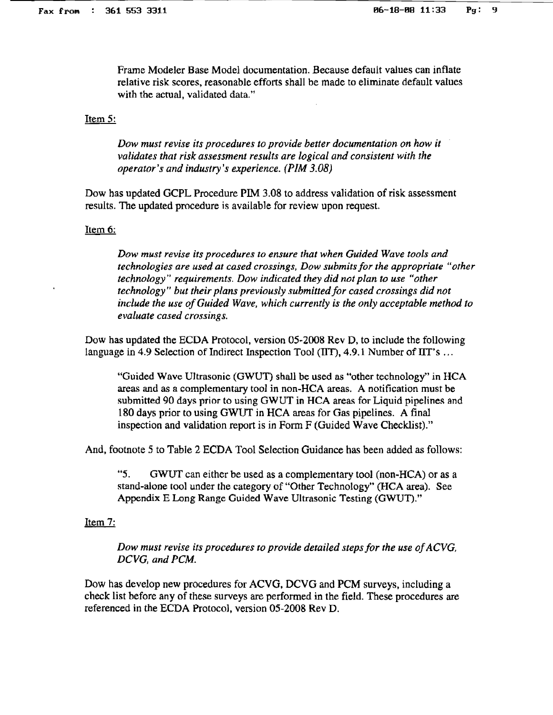Frame Modeler Base Model documentation. Because default vaJues can inflate relative risk scores, reasonable efforts shall be made to eliminate default values with the actual, validated data."

## Item 5:

*Dow must revise its procedures to provide better documentation on how it validates that risk assessment results are logical and consistent with the operator's and industry's experience. (PIM 3.08)* 

Dow has updated GCPL Procedure PIM 3.08 to address validation of risk assessment results. The updated procedure is available for review upon request.

## Item 6:

*Dow must revise its procedures to ensure that when Guided Wave tools and technologies are used at cased crossings. Dow submits for the appropriate "other technology" requirements. Dow indicated they did not plan to use "other technology" but their plans previously submitted for cased crossings did not include the use ofGuided Wave, which currently is the only acceptable method to evaluate cased crossings.* 

Dow has updated the ECDA Protocol, version 05-2008 Rev D, to include the following language in 4.9 Selection of Indirect Inspection Tool ( $\text{IIT}$ ), 4.9.1 Number of  $\text{IIT}$ 's ...

"Guided Wave Ultrasonic (GWUT) shall be used as "other technology" in HCA areas and as a complementary tool in non-HCA areas. A notification must be submitted 90 days prior to using GWUT in HCA areas for Liquid pipelines and 180 days prior to using GWUT in HCA areas for Gas pipelines. A final inspection and validation report is in Form F (Guided Wave Checklist)."

And, footnote 5 to Table 2 ECDA Tool Selection Guidance has been added as follows:

"5. GWUT can either be used as a complementary tool (non-HCA) or as a stand-alone tool under the category of "Other Technology" (HCA area). See Appendix E Long Range Guided Wave Ultrasonic Testing (GWUT)."

# Item 7:

*Dow* must revise its procedures to provide detailed steps for the use of ACVG, *DCVG, and PCM.* 

Dow has develop new procedures for ACVG, DCVG and PCM surveys, including a check list before any of these surveys are performed in the field. These procedures are referenced in the ECDA Protocol, version 05-2008 Rev D.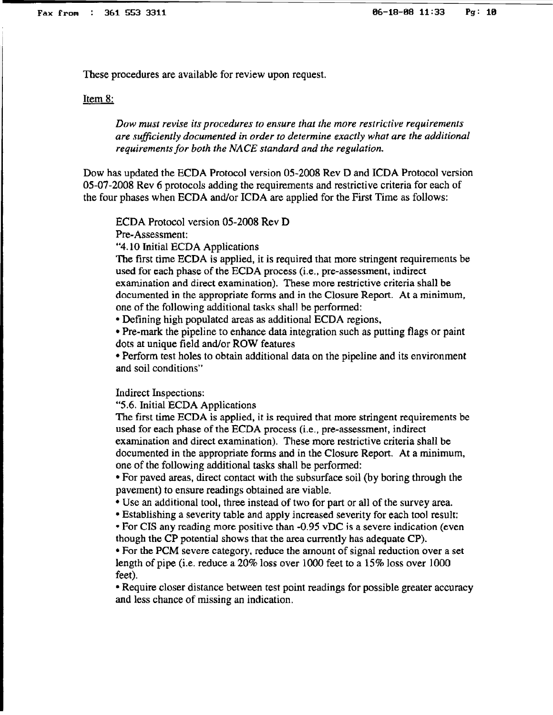These procedures are available for review upon request.

#### Item 8:

*Dow must revise its procedures to ensure that the more restrictive requirements are sufficiently documented in order to determine exactly what are the additional requirements for both the NACE standard and the regulation.* 

Dow has updated the ECDA Protocol version 05-2008 Rev D and ICDA Protocol version 05-07-2008 Rev 6 protocols adding the requirements and restrictive criteria for each of the four phases when ECDA andlor ICDA are applied for the First *Time* as follows:

ECDA Protocol version 05-2008 Rev D

Pre-Assessment:

"4.10 Initial ECDA Applications

The first time ECDA is applied, it is required that more stringent requirements be used for each phase of the ECDA process (i.e., pre-assessment, indirect examination and direct examination). These more restrictive criteria shall be documented in the appropriate fonns and in the Closure Report. At a minimum, one of the following additional tasks shall be performed:

• Defining high populated areas as additional ECDA regions.

• Pre-mark the pipeline to enhance data integration such as putting flags or paint dots at unique field and/or ROW features

• Perform test holes to obtain additional data on the pipeline and its environment and soil conditions"

Indirect Inspections:

"5.6. Initial ECDA Applications

The first time ECDA is applied, it is required that more stringent requirements be used for each phase of the ECDA process (i.e., pre-assessment, indirect examination and direct examination). These more restrictive criteria shall be documented in the appropriate forms and in the Closure Report. At a minimum, one of the following additional tasks shall be performed:

• For paved areas, direct contact with the subsurface soil (by boring through the pavement) to ensure readings obtained are viable.

• Use an additional tool, three instead of two for part or all of the survey area.

• Establishing a severity table and apply increased severity for each tool result:

• For CIS any reading more positive than -0.95 vDC is a severe indication (even though the CP potential shows that the area currently has adequate CP).

• For the PCM severe category, reduce the amount of signal reduction over a set length of pipe (i.e. reduce a 20% loss over 1000 feet to a 15% loss over 1000 feet).

• Require closer distance between test point readings for possible greater accuracy and less chance of missing an indication.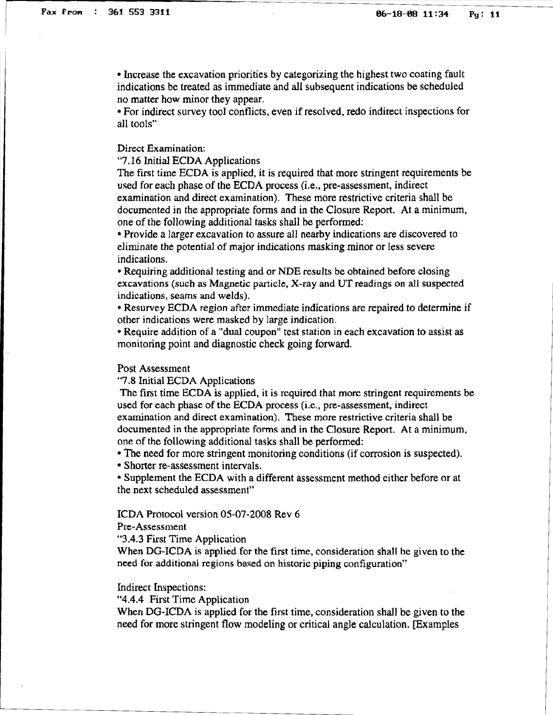• Increase the excavation priorities by categorizing the highest two coating fault indications be treated as immediate and all subsequent indications be scheduled no matter how minor they appear.

• For indirect survey tool conflicts, even if resolved, redo indirect inspections for all tools"

Direct Examination:

"7.16 Initial ECDA Applications

The first time ECDA is applied, it is required that more stringent requirements be used for each phase of the ECDA process (i.e., pre-assessment, indirect examination and direct examination), These more restrictive criteria shall be documented in the appropriate forms and in the Closure Report. At a minimum, one of the following additional tasks shall be performed:

• Provide a larger excavation to assure all nearby indications are discovered to eliminate the potential of major indications masking minor or less severe indications.

• Requiring additional testing and or NDE results be obtained before closing excavations (such as Magnetic particle. X-ray and UT readings on all suspected indications, seams and welds).

• Resurvey ECDA region after immediate indications are repaired to determine if other indications were masked by large indication.

• Require addition of a "dual coupon" test station in each excavation to assist as monitoring point and diagnostic check going forward.

### Post Assessment

"7.8 Initial ECDA Applications

The first time ECDA is applied, it is required that more stringent requirements be used for each phase of the ECDA process (i.e., pre-assessment, indirect examination and direct examination). These more restrictive criteria shall be documented in the appropriate forms and in the Closure Report. At a minimum, one of the following additional tasks shall be performed:

• The need for more stringent monitoring conditions (if corrosion is suspected).

• Shorter re-assessment intervals.

• Supplement the ECDA with a different assessment method either before or at the next scheduled assessment"

ICDA Protocol version 05-07-2008 Rev 6

Pre-Assessment

"3.4.3 First Time Application

When DG-ICDA is applied for the first time, consideration shall be given to the need for additional regions based on historic piping configuration"

Indirect Inspections:

"4.4.4 First Time Application

When DG-ICDA is applied for the first time, consideration shall be given to the need for more stringent flow modeling or critical angle calculation. [Examples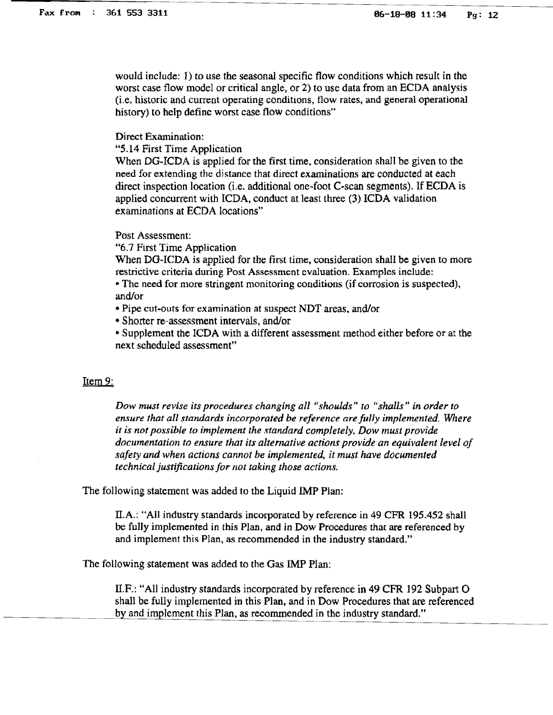would include: 1) to use the seasonal specific flow conditions which result in the worst case flow model or critical angle, or 2) to use data from an ECDA analysis (i.e. historic and current operating conditions, flow rates, and general operational history) to help define worst case flow conditions"

Direct Examination:

"5.14 First Time Application

When DG-ICDA is applied for the first time, consideration shall be given to the need for extending the distance that direct examinations are conducted at each direct inspection location (i.e. additional one-foot C-scan segments). If ECDA is applied concurrent with ICDA, conduct at least three (3) ICDA validation examinations at ECDA locations"

Post Assessment:

"6.7 First Time Application

When DG-ICDA is applied for the first time, consideration shall be given to more restrictive criteria during Post Assessment evaluation. Examples include:

• The need for more stringent monitoring conditions (if corrosion is suspected), and/or

• Pipe cut-outs for examination at suspect NDT areas. and/or

• Shorter re-assessment intervals, and/or

• Supplement the ICDA with a different assessment method either before or at the next scheduled assessment"

#### Item 9:

*Dow must revise its procedures changing all "shoulds" to "shalls" in order to ensure that all standards incorporated be reference are fully implemented. Where*  it *is not possible to implement the standard completely. Dow must provide documentation to ensure that its alternative actions provide an equivalent level of safety and when actions cannot be implemented, it must have documented technical justifications for not taking those actions.* 

The following statement was added to the Liquid 1MP Plan:

II.A.: "All industry standards incorporated by reference in 49 CFR 195.452 shall be fully implemented in this Plan, and in Dow Procedures that are referenced by and implement this Plan, as recommended in the industry standard."

The following statement was added to the Gas IMP Plan:

ILF.: "All industry standards incorporated by reference in 49 CFR 192 Subpart O shall be fully implemented in this Plan, and in Dow Procedures that are referenced by and implement this Plan. as recommended in the industry standard."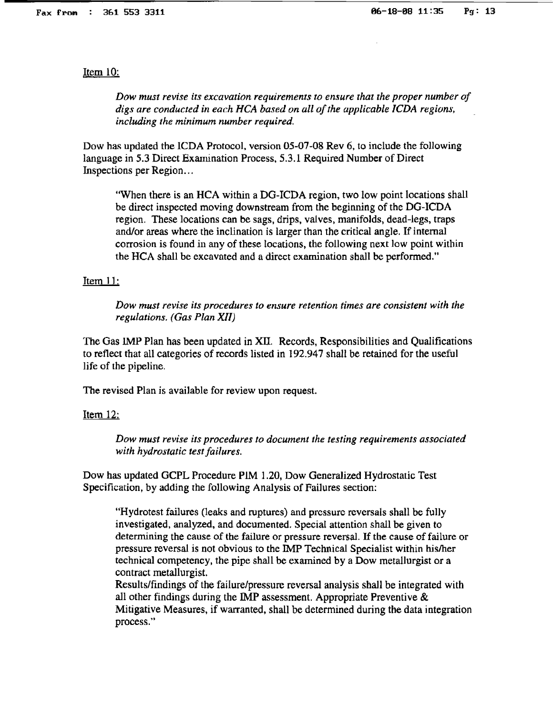### Item 10:

*Dow must revise its excavation requirements to ensure that the proper number of* digs are conducted in each HCA based on all of the applicable ICDA regions, *including the minimum number required.* 

Dow has updated the ICDA Protocol, version 05-07-08 Rev 6, to include the following language in 5.3 Direct Examination Process, 5.3.1 Required Number of Direct Inspections per Region...

"When there is an HCA within a DG-ICDA region, two low point locations shall be direct inspected moving downstream from the beginning of the DG-ICDA region. These locations can be sags, drips, valves, manifolds, dead-legs, traps and/or areas where the inclination is larger than the critical angle. If internal corrosion is found in any of these locations, the following next low point within the RCA shall be excavated and a direct examination shall be performed."

### Item 11:

*Dow must revise its procedures to ensure retention times are consistent with the regulations. (Gas Plan Xll)* 

The Gas JMP Plan has been updated in XII. Records, Responsibilities and Qualifications to reflect that all categories of records listed in 192.947 shall be retained for the useful life of the pipeline.

The revised Plan is available for review upon request.

#### Item 12:

*Dow must revise its procedures to document the testing requirements associated with hydrostatic test failures.* 

Dow has updated GCPL Procedure PiM 1.20, Dow Generalized Hydrostatic Test Specification, by adding the following Analysis of Failures section:

"Hydrotest failures (leaks and ruptures) and pressure reversals shall be fully investigated, analyzed, and documented. Special attention shall be given to determining the cause of the failure or pressure reversal. H the cause of failure or pressure reversal is not obvious to the lMP Technical Specialist within hislher technical competency, the pipe shall be examined by a Dow metallurgist or a contract metallurgist.

Results/findings of the failure/pressure reversal analysis shall be integrated with all other findings during the IMP assessment. Appropriate Preventive & Mitigative Measures, if warranted, shall be determined during the data integration process."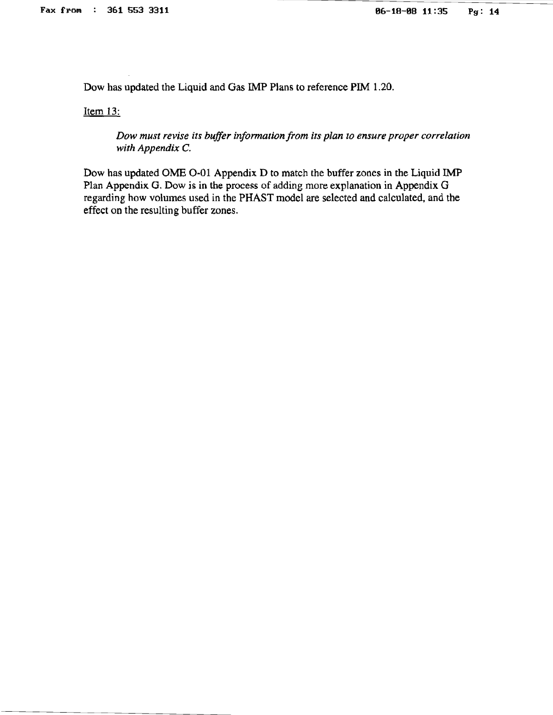Dow has updated the Liquid and Gas IMP Plans to reference PIM 1.20.

Item 13:

*Dow must revise its buffer informationfrom its plan to ensure proper correlation with Appendix* C.

Dow has updated OME 0-01 Appendix D to match the buffer zones in the Liquid IMP Plan Appendix G. Dow is in the process of adding more explanation in Appendix G regarding how volumes used in the PHAST model are selected and calculated, and the effect on the resulting buffer zones.